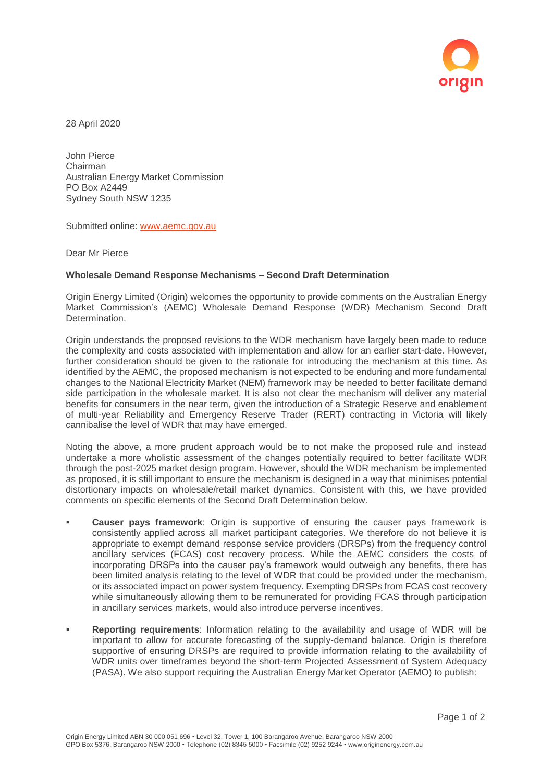

28 April 2020

John Pierce Chairman Australian Energy Market Commission PO Box A2449 Sydney South NSW 1235

Submitted online: [www.aemc.gov.au](http://www.aemc.gov.au/)

Dear Mr Pierce

## **Wholesale Demand Response Mechanisms – Second Draft Determination**

Origin Energy Limited (Origin) welcomes the opportunity to provide comments on the Australian Energy Market Commission's (AEMC) Wholesale Demand Response (WDR) Mechanism Second Draft Determination.

Origin understands the proposed revisions to the WDR mechanism have largely been made to reduce the complexity and costs associated with implementation and allow for an earlier start-date. However, further consideration should be given to the rationale for introducing the mechanism at this time. As identified by the AEMC, the proposed mechanism is not expected to be enduring and more fundamental changes to the National Electricity Market (NEM) framework may be needed to better facilitate demand side participation in the wholesale market. It is also not clear the mechanism will deliver any material benefits for consumers in the near term, given the introduction of a Strategic Reserve and enablement of multi-year Reliability and Emergency Reserve Trader (RERT) contracting in Victoria will likely cannibalise the level of WDR that may have emerged.

Noting the above, a more prudent approach would be to not make the proposed rule and instead undertake a more wholistic assessment of the changes potentially required to better facilitate WDR through the post-2025 market design program. However, should the WDR mechanism be implemented as proposed, it is still important to ensure the mechanism is designed in a way that minimises potential distortionary impacts on wholesale/retail market dynamics. Consistent with this, we have provided comments on specific elements of the Second Draft Determination below.

- **Causer pays framework**: Origin is supportive of ensuring the causer pays framework is consistently applied across all market participant categories. We therefore do not believe it is appropriate to exempt demand response service providers (DRSPs) from the frequency control ancillary services (FCAS) cost recovery process. While the AEMC considers the costs of incorporating DRSPs into the causer pay's framework would outweigh any benefits, there has been limited analysis relating to the level of WDR that could be provided under the mechanism, or its associated impact on power system frequency. Exempting DRSPs from FCAS cost recovery while simultaneously allowing them to be remunerated for providing FCAS through participation in ancillary services markets, would also introduce perverse incentives.
- **Reporting requirements**: Information relating to the availability and usage of WDR will be important to allow for accurate forecasting of the supply-demand balance. Origin is therefore supportive of ensuring DRSPs are required to provide information relating to the availability of WDR units over timeframes beyond the short-term Projected Assessment of System Adequacy (PASA). We also support requiring the Australian Energy Market Operator (AEMO) to publish: